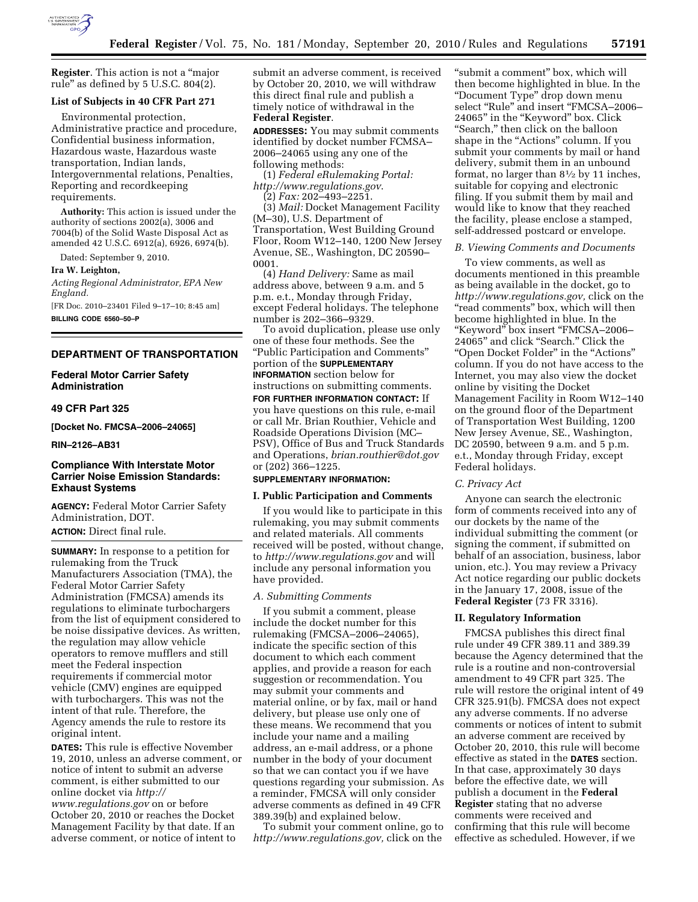

**Register**. This action is not a ''major rule'' as defined by 5 U.S.C. 804(2).

## **List of Subjects in 40 CFR Part 271**

Environmental protection, Administrative practice and procedure, Confidential business information, Hazardous waste, Hazardous waste transportation, Indian lands, Intergovernmental relations, Penalties, Reporting and recordkeeping requirements.

**Authority:** This action is issued under the authority of sections 2002(a), 3006 and 7004(b) of the Solid Waste Disposal Act as amended 42 U.S.C. 6912(a), 6926, 6974(b).

Dated: September 9, 2010.

#### **Ira W. Leighton,**

*Acting Regional Administrator, EPA New England.* 

[FR Doc. 2010–23401 Filed 9–17–10; 8:45 am] **BILLING CODE 6560–50–P** 

### **DEPARTMENT OF TRANSPORTATION**

## **Federal Motor Carrier Safety Administration**

### **49 CFR Part 325**

**[Docket No. FMCSA–2006–24065]** 

**RIN–2126–AB31** 

# **Compliance With Interstate Motor Carrier Noise Emission Standards: Exhaust Systems**

**AGENCY:** Federal Motor Carrier Safety Administration, DOT. **ACTION:** Direct final rule.

**SUMMARY:** In response to a petition for rulemaking from the Truck Manufacturers Association (TMA), the Federal Motor Carrier Safety Administration (FMCSA) amends its regulations to eliminate turbochargers from the list of equipment considered to be noise dissipative devices. As written, the regulation may allow vehicle operators to remove mufflers and still meet the Federal inspection requirements if commercial motor vehicle (CMV) engines are equipped with turbochargers. This was not the intent of that rule. Therefore, the Agency amends the rule to restore its original intent.

**DATES:** This rule is effective November 19, 2010, unless an adverse comment, or notice of intent to submit an adverse comment, is either submitted to our online docket via *[http://](http://www.regulations.gov) [www.regulations.gov](http://www.regulations.gov)* on or before October 20, 2010 or reaches the Docket Management Facility by that date. If an adverse comment, or notice of intent to

submit an adverse comment, is received by October 20, 2010, we will withdraw this direct final rule and publish a timely notice of withdrawal in the **Federal Register**.

**ADDRESSES:** You may submit comments identified by docket number FCMSA– 2006–24065 using any one of the following methods:

(1) *Federal eRulemaking Portal: <http://www.regulations.gov>*.

(2) *Fax:* 202–493–2251.

(3) *Mail:* Docket Management Facility (M–30), U.S. Department of Transportation, West Building Ground Floor, Room W12–140, 1200 New Jersey Avenue, SE., Washington, DC 20590– 0001.

(4) *Hand Delivery:* Same as mail address above, between 9 a.m. and 5 p.m. e.t., Monday through Friday, except Federal holidays. The telephone number is 202–366–9329.

To avoid duplication, please use only one of these four methods. See the ''Public Participation and Comments'' portion of the **SUPPLEMENTARY INFORMATION** section below for instructions on submitting comments. **FOR FURTHER INFORMATION CONTACT:** If you have questions on this rule, e-mail or call Mr. Brian Routhier, Vehicle and Roadside Operations Division (MC– PSV), Office of Bus and Truck Standards and Operations, *[brian.routhier@dot.gov](mailto:brian.routhier@dot.gov)*  or (202) 366–1225.

# **SUPPLEMENTARY INFORMATION:**

## **I. Public Participation and Comments**

If you would like to participate in this rulemaking, you may submit comments and related materials. All comments received will be posted, without change, to *<http://www.regulations.gov>*and will include any personal information you have provided.

## *A. Submitting Comments*

If you submit a comment, please include the docket number for this rulemaking (FMCSA–2006–24065), indicate the specific section of this document to which each comment applies, and provide a reason for each suggestion or recommendation. You may submit your comments and material online, or by fax, mail or hand delivery, but please use only one of these means. We recommend that you include your name and a mailing address, an e-mail address, or a phone number in the body of your document so that we can contact you if we have questions regarding your submission. As a reminder, FMCSA will only consider adverse comments as defined in 49 CFR 389.39(b) and explained below.

To submit your comment online, go to *[http://www.regulations.gov,](http://www.regulations.gov)* click on the

"submit a comment" box, which will then become highlighted in blue. In the ''Document Type'' drop down menu select "Rule" and insert "FMCSA-2006-24065'' in the ''Keyword'' box. Click ''Search,'' then click on the balloon shape in the "Actions" column. If you submit your comments by mail or hand delivery, submit them in an unbound format, no larger than 81⁄2 by 11 inches, suitable for copying and electronic filing. If you submit them by mail and would like to know that they reached the facility, please enclose a stamped, self-addressed postcard or envelope.

#### *B. Viewing Comments and Documents*

To view comments, as well as documents mentioned in this preamble as being available in the docket, go to *[http://www.regulations.gov,](http://www.regulations.gov)* click on the "read comments" box, which will then become highlighted in blue. In the ''Keyword'' box insert ''FMCSA–2006– 24065'' and click ''Search.'' Click the ''Open Docket Folder'' in the ''Actions'' column. If you do not have access to the Internet, you may also view the docket online by visiting the Docket Management Facility in Room W12–140 on the ground floor of the Department of Transportation West Building, 1200 New Jersey Avenue, SE., Washington, DC 20590, between 9 a.m. and 5 p.m. e.t., Monday through Friday, except Federal holidays.

#### *C. Privacy Act*

Anyone can search the electronic form of comments received into any of our dockets by the name of the individual submitting the comment (or signing the comment, if submitted on behalf of an association, business, labor union, etc.). You may review a Privacy Act notice regarding our public dockets in the January 17, 2008, issue of the **Federal Register** (73 FR 3316).

## **II. Regulatory Information**

FMCSA publishes this direct final rule under 49 CFR 389.11 and 389.39 because the Agency determined that the rule is a routine and non-controversial amendment to 49 CFR part 325. The rule will restore the original intent of 49 CFR 325.91(b). FMCSA does not expect any adverse comments. If no adverse comments or notices of intent to submit an adverse comment are received by October 20, 2010, this rule will become effective as stated in the **DATES** section. In that case, approximately 30 days before the effective date, we will publish a document in the **Federal Register** stating that no adverse comments were received and confirming that this rule will become effective as scheduled. However, if we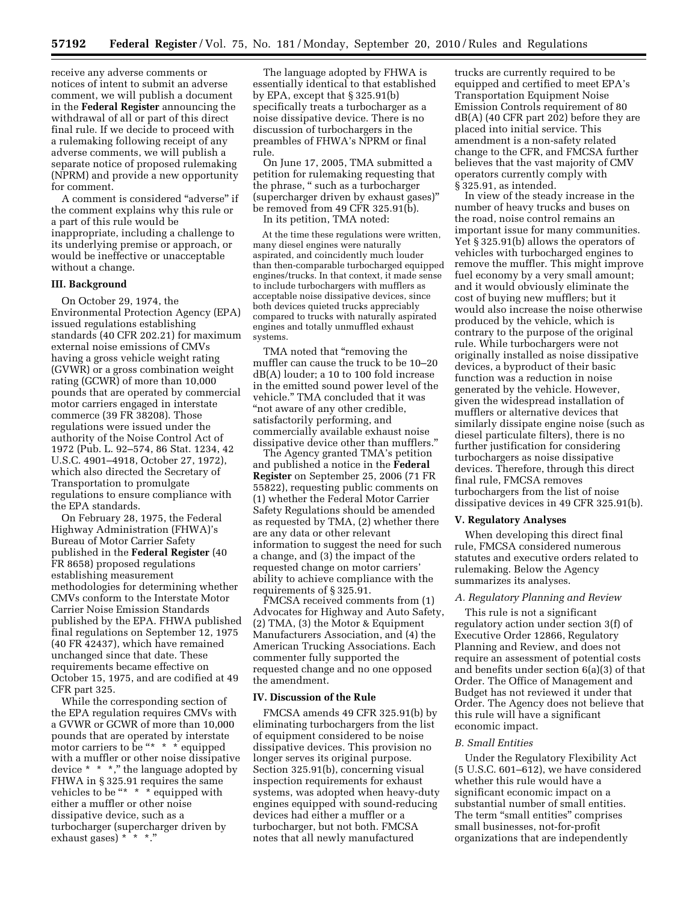receive any adverse comments or notices of intent to submit an adverse comment, we will publish a document in the **Federal Register** announcing the withdrawal of all or part of this direct final rule. If we decide to proceed with a rulemaking following receipt of any adverse comments, we will publish a separate notice of proposed rulemaking (NPRM) and provide a new opportunity for comment.

A comment is considered ''adverse'' if the comment explains why this rule or a part of this rule would be inappropriate, including a challenge to its underlying premise or approach, or would be ineffective or unacceptable without a change.

#### **III. Background**

On October 29, 1974, the Environmental Protection Agency (EPA) issued regulations establishing standards (40 CFR 202.21) for maximum external noise emissions of CMVs having a gross vehicle weight rating (GVWR) or a gross combination weight rating (GCWR) of more than 10,000 pounds that are operated by commercial motor carriers engaged in interstate commerce (39 FR 38208). Those regulations were issued under the authority of the Noise Control Act of 1972 (Pub. L. 92–574, 86 Stat. 1234, 42 U.S.C. 4901–4918, October 27, 1972), which also directed the Secretary of Transportation to promulgate regulations to ensure compliance with the EPA standards.

On February 28, 1975, the Federal Highway Administration (FHWA)'s Bureau of Motor Carrier Safety published in the **Federal Register** (40 FR 8658) proposed regulations establishing measurement methodologies for determining whether CMVs conform to the Interstate Motor Carrier Noise Emission Standards published by the EPA. FHWA published final regulations on September 12, 1975 (40 FR 42437), which have remained unchanged since that date. These requirements became effective on October 15, 1975, and are codified at 49 CFR part 325.

While the corresponding section of the EPA regulation requires CMVs with a GVWR or GCWR of more than 10,000 pounds that are operated by interstate motor carriers to be "\* \* \* equipped with a muffler or other noise dissipative device \* \* \*,'' the language adopted by FHWA in § 325.91 requires the same vehicles to be "\*  $*$  \* equipped with either a muffler or other noise dissipative device, such as a turbocharger (supercharger driven by exhaust gases) \* \* \*."

The language adopted by FHWA is essentially identical to that established by EPA, except that § 325.91(b) specifically treats a turbocharger as a noise dissipative device. There is no discussion of turbochargers in the preambles of FHWA's NPRM or final rule.

On June 17, 2005, TMA submitted a petition for rulemaking requesting that the phrase, '' such as a turbocharger (supercharger driven by exhaust gases)'' be removed from 49 CFR 325.91(b).

In its petition, TMA noted:

At the time these regulations were written, many diesel engines were naturally aspirated, and coincidently much louder than then-comparable turbocharged equipped engines/trucks. In that context, it made sense to include turbochargers with mufflers as acceptable noise dissipative devices, since both devices quieted trucks appreciably compared to trucks with naturally aspirated engines and totally unmuffled exhaust systems.

TMA noted that "removing the muffler can cause the truck to be 10–20 dB(A) louder; a 10 to 100 fold increase in the emitted sound power level of the vehicle.'' TMA concluded that it was ''not aware of any other credible, satisfactorily performing, and commercially available exhaust noise dissipative device other than mufflers.''

The Agency granted TMA's petition and published a notice in the **Federal Register** on September 25, 2006 (71 FR 55822), requesting public comments on (1) whether the Federal Motor Carrier Safety Regulations should be amended as requested by TMA, (2) whether there are any data or other relevant information to suggest the need for such a change, and (3) the impact of the requested change on motor carriers' ability to achieve compliance with the requirements of § 325.91.

FMCSA received comments from (1) Advocates for Highway and Auto Safety, (2) TMA, (3) the Motor & Equipment Manufacturers Association, and (4) the American Trucking Associations. Each commenter fully supported the requested change and no one opposed the amendment.

#### **IV. Discussion of the Rule**

FMCSA amends 49 CFR 325.91(b) by eliminating turbochargers from the list of equipment considered to be noise dissipative devices. This provision no longer serves its original purpose. Section 325.91(b), concerning visual inspection requirements for exhaust systems, was adopted when heavy-duty engines equipped with sound-reducing devices had either a muffler or a turbocharger, but not both. FMCSA notes that all newly manufactured

trucks are currently required to be equipped and certified to meet EPA's Transportation Equipment Noise Emission Controls requirement of 80  $dB(A)$  (40 CFR part 202) before they are placed into initial service. This amendment is a non-safety related change to the CFR, and FMCSA further believes that the vast majority of CMV operators currently comply with § 325.91, as intended.

In view of the steady increase in the number of heavy trucks and buses on the road, noise control remains an important issue for many communities. Yet § 325.91(b) allows the operators of vehicles with turbocharged engines to remove the muffler. This might improve fuel economy by a very small amount; and it would obviously eliminate the cost of buying new mufflers; but it would also increase the noise otherwise produced by the vehicle, which is contrary to the purpose of the original rule. While turbochargers were not originally installed as noise dissipative devices, a byproduct of their basic function was a reduction in noise generated by the vehicle. However, given the widespread installation of mufflers or alternative devices that similarly dissipate engine noise (such as diesel particulate filters), there is no further justification for considering turbochargers as noise dissipative devices. Therefore, through this direct final rule, FMCSA removes turbochargers from the list of noise dissipative devices in 49 CFR 325.91(b).

### **V. Regulatory Analyses**

When developing this direct final rule, FMCSA considered numerous statutes and executive orders related to rulemaking. Below the Agency summarizes its analyses.

## *A. Regulatory Planning and Review*

This rule is not a significant regulatory action under section 3(f) of Executive Order 12866, Regulatory Planning and Review, and does not require an assessment of potential costs and benefits under section 6(a)(3) of that Order. The Office of Management and Budget has not reviewed it under that Order. The Agency does not believe that this rule will have a significant economic impact.

#### *B. Small Entities*

Under the Regulatory Flexibility Act (5 U.S.C. 601–612), we have considered whether this rule would have a significant economic impact on a substantial number of small entities. The term "small entities" comprises small businesses, not-for-profit organizations that are independently